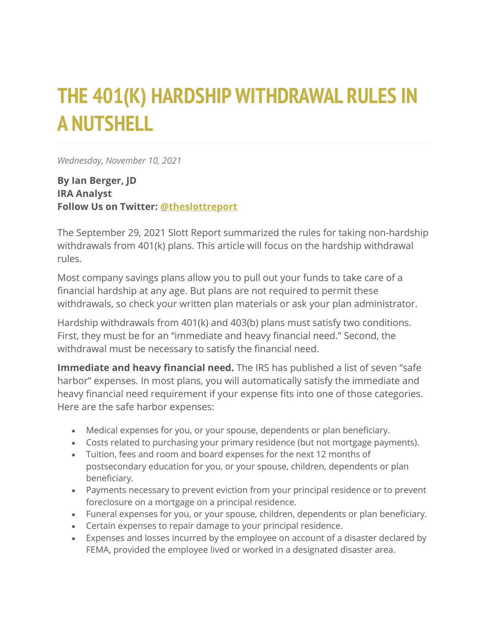## **THE 401(K) HARDSHIP WITHDRAWAL RULES IN A NUTSHELL**

*Wednesday, November 10, 2021*

**By Ian Berger, JD IRA Analyst Follow Us on Twitter: [@theslottreport](https://twitter.com/theslottreport)**

The September 29, 2021 Slott Report summarized the rules for taking non-hardship withdrawals from 401(k) plans. This article will focus on the hardship withdrawal rules.

Most company savings plans allow you to pull out your funds to take care of a financial hardship at any age. But plans are not required to permit these withdrawals, so check your written plan materials or ask your plan administrator.

Hardship withdrawals from 401(k) and 403(b) plans must satisfy two conditions. First, they must be for an "immediate and heavy financial need." Second, the withdrawal must be necessary to satisfy the financial need.

**Immediate and heavy financial need.** The IRS has published a list of seven "safe harbor" expenses. In most plans, you will automatically satisfy the immediate and heavy financial need requirement if your expense fits into one of those categories. Here are the safe harbor expenses:

- Medical expenses for you, or your spouse, dependents or plan beneficiary.
- Costs related to purchasing your primary residence (but not mortgage payments).
- Tuition, fees and room and board expenses for the next 12 months of postsecondary education for you, or your spouse, children, dependents or plan beneficiary.
- Payments necessary to prevent eviction from your principal residence or to prevent foreclosure on a mortgage on a principal residence.
- Funeral expenses for you, or your spouse, children, dependents or plan beneficiary.
- Certain expenses to repair damage to your principal residence.
- Expenses and losses incurred by the employee on account of a disaster declared by FEMA, provided the employee lived or worked in a designated disaster area.